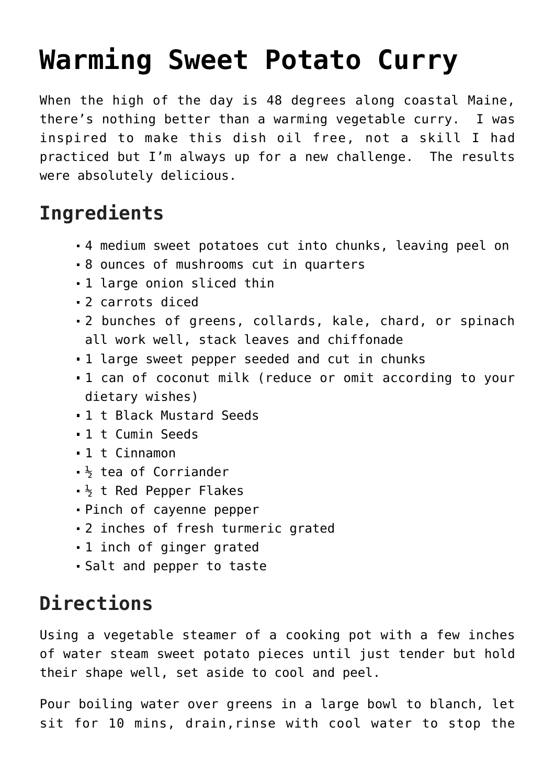## **[Warming Sweet Potato Curry](https://laurenhubele.com/18681-2/)**

When the high of the day is 48 degrees along coastal Maine, there's nothing better than a warming vegetable curry. I was inspired to make this dish oil free, not a skill I had practiced but I'm always up for a new challenge. The results were absolutely delicious.

## **Ingredients**

- 4 medium sweet potatoes cut into chunks, leaving peel on
- 8 ounces of mushrooms cut in quarters
- 1 large onion sliced thin
- 2 carrots diced
- 2 bunches of greens, collards, kale, chard, or spinach all work well, stack leaves and chiffonade
- 1 large sweet pepper seeded and cut in chunks
- 1 can of coconut milk (reduce or omit according to your dietary wishes)
- 1 t Black Mustard Seeds
- 1 t Cumin Seeds
- 1 t Cinnamon
- $\frac{1}{2}$  tea of Corriander
- $\frac{1}{2}$  t Red Pepper Flakes
- Pinch of cayenne pepper
- 2 inches of fresh turmeric grated
- 1 inch of ginger grated
- Salt and pepper to taste

## **Directions**

Using a vegetable steamer of a cooking pot with a few inches of water steam sweet potato pieces until just tender but hold their shape well, set aside to cool and peel.

Pour boiling water over greens in a large bowl to blanch, let sit for 10 mins, drain,rinse with cool water to stop the